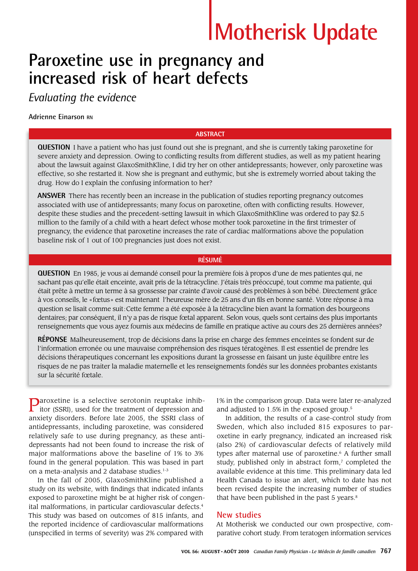# **Motherisk Update**

# **Paroxetine use in pregnancy and increased risk of heart defects**

*Evaluating the evidence*

# **Adrienne Einarson RN**

### **ABSTRACT**

**QUESTION** I have a patient who has just found out she is pregnant, and she is currently taking paroxetine for severe anxiety and depression. Owing to conflicting results from different studies, as well as my patient hearing about the lawsuit against GlaxoSmithKline, I did try her on other antidepressants; however, only paroxetine was effective, so she restarted it. Now she is pregnant and euthymic, but she is extremely worried about taking the drug. How do I explain the confusing information to her?

**ANSWER** There has recently been an increase in the publication of studies reporting pregnancy outcomes associated with use of antidepressants; many focus on paroxetine, often with conflicting results. However, despite these studies and the precedent-setting lawsuit in which GlaxoSmithKline was ordered to pay \$2.5 million to the family of a child with a heart defect whose mother took paroxetine in the first trimester of pregnancy, the evidence that paroxetine increases the rate of cardiac malformations above the population baseline risk of 1 out of 100 pregnancies just does not exist.

### **RÉSUMÉ**

**QUESTION** En 1985, je vous ai demandé conseil pour la première fois à propos d'une de mes patientes qui, ne sachant pas qu'elle était enceinte, avait pris de la tétracycline. J'étais très préoccupé, tout comme ma patiente, qui était prête à mettre un terme à sa grossesse par crainte d'avoir causé des problèmes à son bébé. Directement grâce à vos conseils, le «fœtus» est maintenant l'heureuse mère de 25 ans d'un fils en bonne santé. Votre réponse à ma question se lisait comme suit:Cette femme a été exposée à la tétracycline bien avant la formation des bourgeons dentaires; par conséquent, il n'y a pas de risque fœtal apparent. Selon vous, quels sont certains des plus importants renseignements que vous ayez fournis aux médecins de famille en pratique active au cours des 25 dernières années?

**RÉPONSE** Malheureusement, trop de décisions dans la prise en charge des femmes enceintes se fondent sur de l'information erronée ou une mauvaise compréhension des risques tératogènes. Il est essentiel de prendre les décisions thérapeutiques concernant les expositions durant la grossesse en faisant un juste équilibre entre les risques de ne pas traiter la maladie maternelle et les renseignements fondés sur les données probantes existants sur la sécurité fœtale.

**P**aroxetine is a selective serotonin reuptake inhib-<br>itor (SSRI) used for the trace itor (SSRI), used for the treatment of depression and anxiety disorders. Before late 2005, the SSRI class of antidepressants, including paroxetine, was considered relatively safe to use during pregnancy, as these antidepressants had not been found to increase the risk of major malformations above the baseline of 1% to 3% found in the general population. This was based in part on a meta-analysis and 2 database studies.<sup>1-3</sup>

In the fall of 2005, GlaxoSmithKline published a study on its website, with findings that indicated infants exposed to paroxetine might be at higher risk of congenital malformations, in particular cardiovascular defects.<sup>4</sup> This study was based on outcomes of 815 infants, and the reported incidence of cardiovascular malformations (unspecified in terms of severity) was 2% compared with

1% in the comparison group. Data were later re-analyzed and adjusted to 1.5% in the exposed group.<sup>5</sup>

In addition, the results of a case-control study from Sweden, which also included 815 exposures to paroxetine in early pregnancy, indicated an increased risk (also 2%) of cardiovascular defects of relatively mild types after maternal use of paroxetine.<sup>6</sup> A further small study, published only in abstract form, $\bar{z}$  completed the available evidence at this time. This preliminary data led Health Canada to issue an alert, which to date has not been revised despite the increasing number of studies that have been published in the past 5 years.<sup>8</sup>

# **New studies**

At Motherisk we conducted our own prospective, comparative cohort study. From teratogen information services